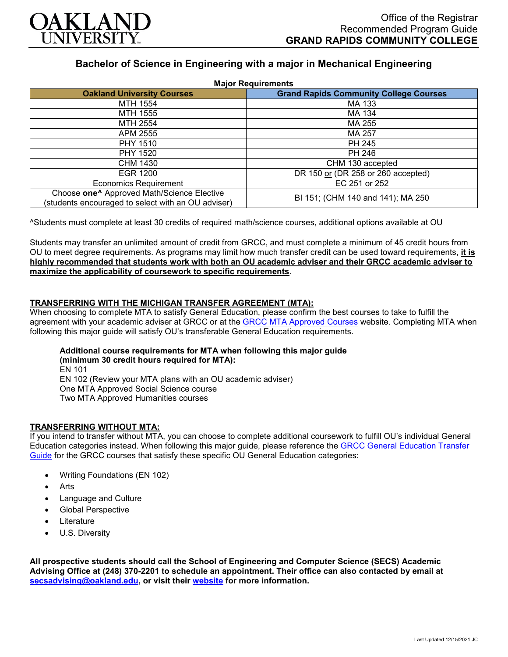

# **Bachelor of Science in Engineering with a major in Mechanical Engineering**

| <b>Major Requirements</b>                                                                                    |                                               |
|--------------------------------------------------------------------------------------------------------------|-----------------------------------------------|
| <b>Oakland University Courses</b>                                                                            | <b>Grand Rapids Community College Courses</b> |
| MTH 1554                                                                                                     | MA 133                                        |
| MTH 1555                                                                                                     | MA 134                                        |
| MTH 2554                                                                                                     | MA 255                                        |
| APM 2555                                                                                                     | MA 257                                        |
| PHY 1510                                                                                                     | PH 245                                        |
| PHY 1520                                                                                                     | PH 246                                        |
| CHM 1430                                                                                                     | CHM 130 accepted                              |
| EGR 1200                                                                                                     | DR 150 or (DR 258 or 260 accepted)            |
| <b>Economics Requirement</b>                                                                                 | EC 251 or 252                                 |
| Choose one <sup>^</sup> Approved Math/Science Elective<br>(students encouraged to select with an OU adviser) | BI 151; (CHM 140 and 141); MA 250             |

^Students must complete at least 30 credits of required math/science courses, additional options available at OU

Students may transfer an unlimited amount of credit from GRCC, and must complete a minimum of 45 credit hours from OU to meet degree requirements. As programs may limit how much transfer credit can be used toward requirements, **it is highly recommended that students work with both an OU academic adviser and their GRCC academic adviser to maximize the applicability of coursework to specific requirements**.

## **TRANSFERRING WITH THE MICHIGAN TRANSFER AGREEMENT (MTA):**

When choosing to complete MTA to satisfy General Education, please confirm the best courses to take to fulfill the agreement with your academic adviser at GRCC or at the [GRCC MTA Approved Courses](https://catalog.grcc.edu/content.php?catoid=47&navoid=3607) website. Completing MTA when following this major guide will satisfy OU's transferable General Education requirements.

#### **Additional course requirements for MTA when following this major guide (minimum 30 credit hours required for MTA):** EN 101

EN 102 (Review your MTA plans with an OU academic adviser) One MTA Approved Social Science course Two MTA Approved Humanities courses

#### **TRANSFERRING WITHOUT MTA:**

If you intend to transfer without MTA, you can choose to complete additional coursework to fulfill OU's individual General Education categories instead. When following this major guide, please reference the [GRCC General Education Transfer](https://www.oakland.edu/Assets/Oakland/program-guides/grand-rapids-community-college/university-general-education-requirements/Grand%20Rapids%20Gen%20Ed.pdf)  [Guide](https://www.oakland.edu/Assets/Oakland/program-guides/grand-rapids-community-college/university-general-education-requirements/Grand%20Rapids%20Gen%20Ed.pdf) for the GRCC courses that satisfy these specific OU General Education categories:

- Writing Foundations (EN 102)
- **Arts**
- Language and Culture
- Global Perspective
- **Literature**
- U.S. Diversity

**All prospective students should call the School of Engineering and Computer Science (SECS) Academic Advising Office at (248) 370-2201 to schedule an appointment. Their office can also contacted by email at [secsadvising@oakland.edu,](mailto:secsadvising@oakland.edu) or visit their [website](https://wwwp.oakland.edu/secs/advising/) for more information.**